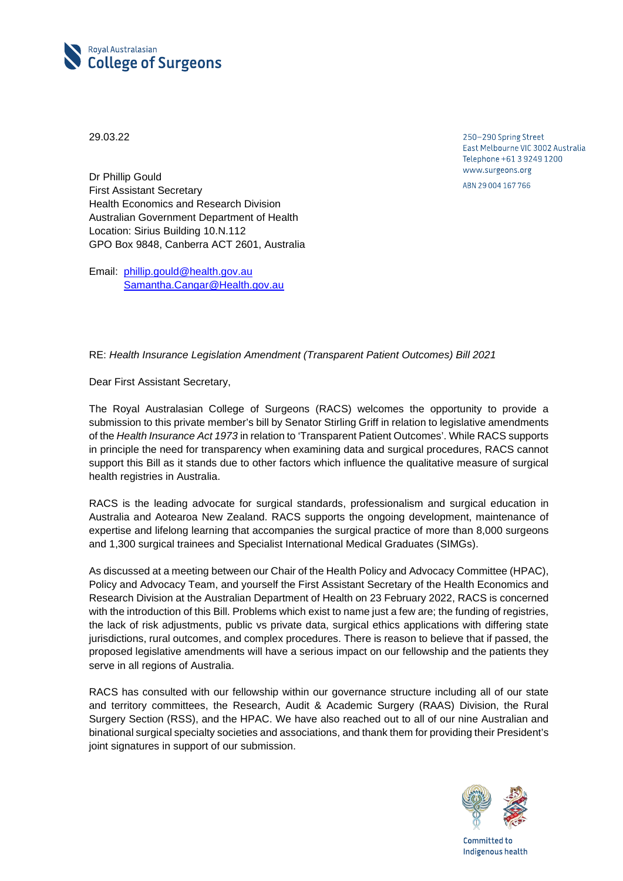

29.03.22

250-290 Spring Street East Melbourne VIC 3002 Australia Telephone +61 3 9249 1200 www.surgeons.org ABN 29 004 167 766

Dr Phillip Gould First Assistant Secretary Health Economics and Research Division Australian Government Department of Health Location: Sirius Building 10.N.112 GPO Box 9848, Canberra ACT 2601, Australia

Email: [phillip.gould@health.gov.au](mailto:phillip.gould@health.gov.au) [Samantha.Cangar@Health.gov.au](mailto:Samantha.Cangar@Health.gov.au)

## RE: *Health Insurance Legislation Amendment (Transparent Patient Outcomes) Bill 2021*

Dear First Assistant Secretary,

The Royal Australasian College of Surgeons (RACS) welcomes the opportunity to provide a submission to this private member's bill by Senator Stirling Griff in relation to legislative amendments of the *Health Insurance Act 1973* in relation to 'Transparent Patient Outcomes'. While RACS supports in principle the need for transparency when examining data and surgical procedures, RACS cannot support this Bill as it stands due to other factors which influence the qualitative measure of surgical health registries in Australia.

RACS is the leading advocate for surgical standards, professionalism and surgical education in Australia and Aotearoa New Zealand. RACS supports the ongoing development, maintenance of expertise and lifelong learning that accompanies the surgical practice of more than 8,000 surgeons and 1,300 surgical trainees and Specialist International Medical Graduates (SIMGs).

As discussed at a meeting between our Chair of the Health Policy and Advocacy Committee (HPAC), Policy and Advocacy Team, and yourself the First Assistant Secretary of the Health Economics and Research Division at the Australian Department of Health on 23 February 2022, RACS is concerned with the introduction of this Bill. Problems which exist to name just a few are; the funding of registries, the lack of risk adjustments, public vs private data, surgical ethics applications with differing state jurisdictions, rural outcomes, and complex procedures. There is reason to believe that if passed, the proposed legislative amendments will have a serious impact on our fellowship and the patients they serve in all regions of Australia.

RACS has consulted with our fellowship within our governance structure including all of our state and territory committees, the Research, Audit & Academic Surgery (RAAS) Division, the Rural Surgery Section (RSS), and the HPAC. We have also reached out to all of our nine Australian and binational surgical specialty societies and associations, and thank them for providing their President's joint signatures in support of our submission.



Committed to Indigenous health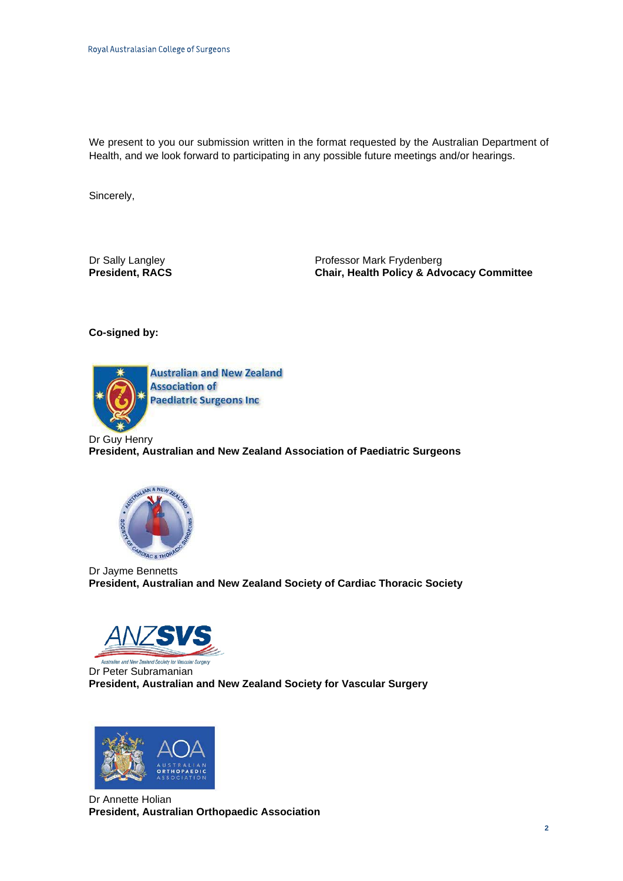We present to you our submission written in the format requested by the Australian Department of Health, and we look forward to participating in any possible future meetings and/or hearings.

Sincerely,

Dr Sally Langley **Dream Controllery** Professor Mark Frydenberg<br> **President, RACS President, RACS Chair, Health Policy & Adv Chair, Health Policy & Advocacy Committee** 

**Co-signed by:**



**Australian and New Zealand Association of Paediatric Surgeons Inc** 

Dr Guy Henry **President, Australian and New Zealand Association of Paediatric Surgeons** 



Dr Jayme Bennetts **President, Australian and New Zealand Society of Cardiac Thoracic Society**



Dr Peter Subramanian **President, Australian and New Zealand Society for Vascular Surgery**



Dr Annette Holian **President, Australian Orthopaedic Association**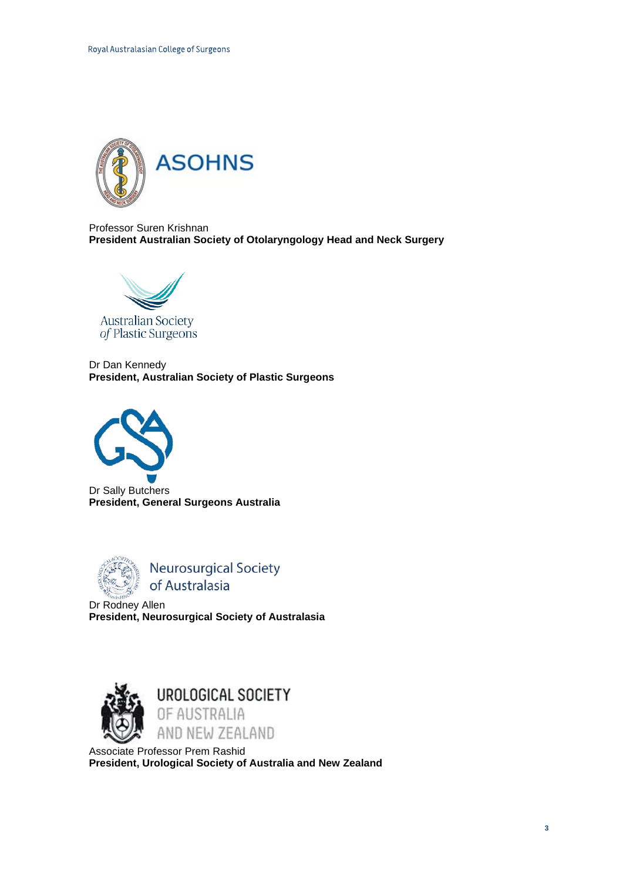

Professor Suren Krishnan **President Australian Society of Otolaryngology Head and Neck Surgery** 



Dr Dan Kennedy **President, Australian Society of Plastic Surgeons**



Dr Sally Butchers **President, General Surgeons Australia** 



**Neurosurgical Society** of Australasia

 $\overline{a}$ Dr Rodney Allen **President, Neurosurgical Society of Australasia** 



Associate Professor Prem Rashid **President, Urological Society of Australia and New Zealand**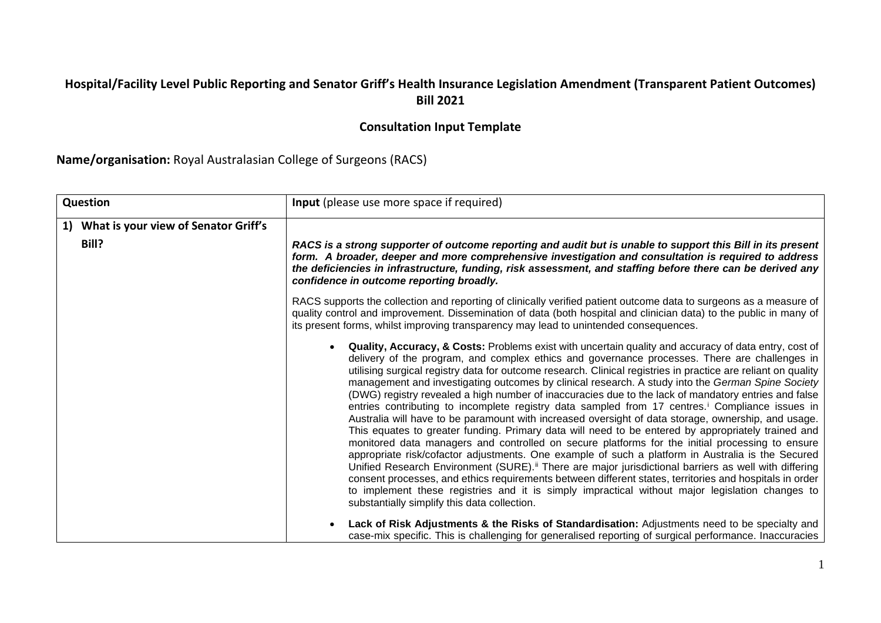## **Hospital/Facility Level Public Reporting and Senator Griff's Health Insurance Legislation Amendment (Transparent Patient Outcomes) Bill 2021**

## **Consultation Input Template**

**Name/organisation:** Royal Australasian College of Surgeons (RACS)

| Question                                         | <b>Input</b> (please use more space if required)                                                                                                                                                                                                                                                                                                                                                                                                                                                                                                                                                                                                                                                                                                                                                                                                                                                                                                                                                                                                                                                                                                                                                                                                                                                                                                                                                                                                                                                                                                                                                                                                                                |
|--------------------------------------------------|---------------------------------------------------------------------------------------------------------------------------------------------------------------------------------------------------------------------------------------------------------------------------------------------------------------------------------------------------------------------------------------------------------------------------------------------------------------------------------------------------------------------------------------------------------------------------------------------------------------------------------------------------------------------------------------------------------------------------------------------------------------------------------------------------------------------------------------------------------------------------------------------------------------------------------------------------------------------------------------------------------------------------------------------------------------------------------------------------------------------------------------------------------------------------------------------------------------------------------------------------------------------------------------------------------------------------------------------------------------------------------------------------------------------------------------------------------------------------------------------------------------------------------------------------------------------------------------------------------------------------------------------------------------------------------|
| 1) What is your view of Senator Griff's<br>Bill? | RACS is a strong supporter of outcome reporting and audit but is unable to support this Bill in its present<br>form. A broader, deeper and more comprehensive investigation and consultation is required to address<br>the deficiencies in infrastructure, funding, risk assessment, and staffing before there can be derived any<br>confidence in outcome reporting broadly.<br>RACS supports the collection and reporting of clinically verified patient outcome data to surgeons as a measure of<br>quality control and improvement. Dissemination of data (both hospital and clinician data) to the public in many of                                                                                                                                                                                                                                                                                                                                                                                                                                                                                                                                                                                                                                                                                                                                                                                                                                                                                                                                                                                                                                                       |
|                                                  | its present forms, whilst improving transparency may lead to unintended consequences.<br>Quality, Accuracy, & Costs: Problems exist with uncertain quality and accuracy of data entry, cost of<br>$\bullet$<br>delivery of the program, and complex ethics and governance processes. There are challenges in<br>utilising surgical registry data for outcome research. Clinical registries in practice are reliant on quality<br>management and investigating outcomes by clinical research. A study into the German Spine Society<br>(DWG) registry revealed a high number of inaccuracies due to the lack of mandatory entries and false<br>entries contributing to incomplete registry data sampled from 17 centres. <sup>i</sup> Compliance issues in<br>Australia will have to be paramount with increased oversight of data storage, ownership, and usage.<br>This equates to greater funding. Primary data will need to be entered by appropriately trained and<br>monitored data managers and controlled on secure platforms for the initial processing to ensure<br>appropriate risk/cofactor adjustments. One example of such a platform in Australia is the Secured<br>Unified Research Environment (SURE). <sup>ii</sup> There are major jurisdictional barriers as well with differing<br>consent processes, and ethics requirements between different states, territories and hospitals in order<br>to implement these registries and it is simply impractical without major legislation changes to<br>substantially simplify this data collection.<br>Lack of Risk Adjustments & the Risks of Standardisation: Adjustments need to be specialty and<br>$\bullet$ |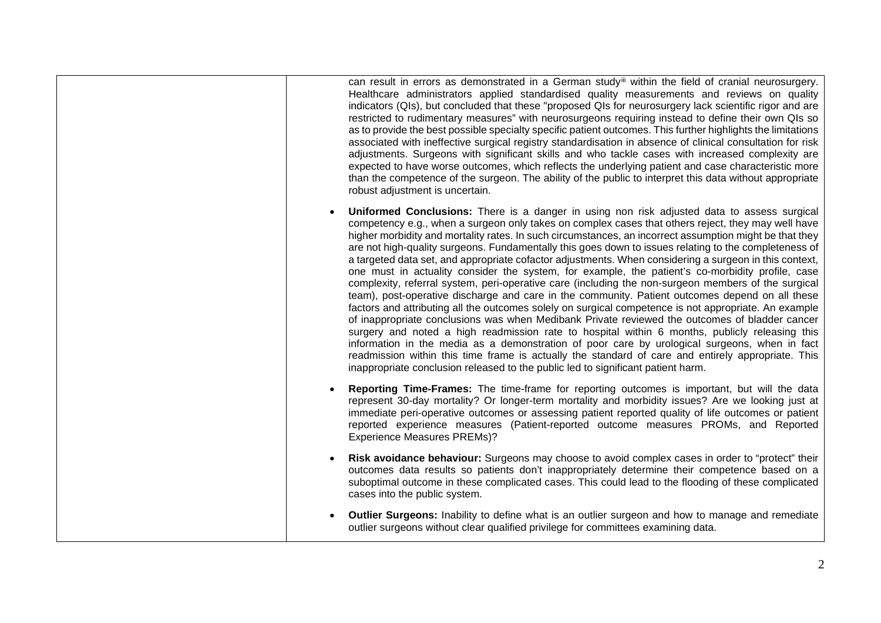can result in errors as demonstrated in a German study<sup>[iii](#page-12-2)</sup> within the field of cranial neurosurgery. Healthcare administrators applied standardised quality measurements and reviews on quality indicators (QIs), but concluded that these "proposed QIs for neurosurgery lack scientific rigor and are restricted to rudimentary measures" with neurosurgeons requiring instead to define their own QIs so as to provide the best possible specialty specific patient outcomes. This further highlights the limitations associated with ineffective surgical registry standardisation in absence of clinical consultation for risk adjustments. Surgeons with significant skills and who tackle cases with increased complexity are expected to have worse outcomes, which reflects the underlying patient and case characteristic more than the competence of the surgeon. The ability of the public to interpret this data without appropriate robust adjustment is uncertain.

- **Uniformed Conclusions:** There is a danger in using non risk adjusted data to assess surgical competency e.g., when a surgeon only takes on complex cases that others reject, they may well have higher morbidity and mortality rates. In such circumstances, an incorrect assumption might be that they are not high-quality surgeons. Fundamentally this goes down to issues relating to the completeness of a targeted data set, and appropriate cofactor adjustments. When considering a surgeon in this context, one must in actuality consider the system, for example, the patient's co-morbidity profile, case complexity, referral system, peri-operative care (including the non-surgeon members of the surgical team), post-operative discharge and care in the community. Patient outcomes depend on all these factors and attributing all the outcomes solely on surgical competence is not appropriate. An example of inappropriate conclusions was when Medibank Private reviewed the outcomes of bladder cancer surgery and noted a high readmission rate to hospital within 6 months, publicly releasing this information in the media as a demonstration of poor care by urological surgeons, when in fact readmission within this time frame is actually the standard of care and entirely appropriate. This inappropriate conclusion released to the public led to significant patient harm.
- **Reporting Time-Frames:** The time-frame for reporting outcomes is important, but will the data represent 30-day mortality? Or longer-term mortality and morbidity issues? Are we looking just at immediate peri-operative outcomes or assessing patient reported quality of life outcomes or patient reported experience measures (Patient-reported outcome measures PROMs, and Reported Experience Measures PREMs)?
- **Risk avoidance behaviour:** Surgeons may choose to avoid complex cases in order to "protect" their outcomes data results so patients don't inappropriately determine their competence based on a suboptimal outcome in these complicated cases. This could lead to the flooding of these complicated cases into the public system.
- **Outlier Surgeons:** Inability to define what is an outlier surgeon and how to manage and remediate outlier surgeons without clear qualified privilege for committees examining data.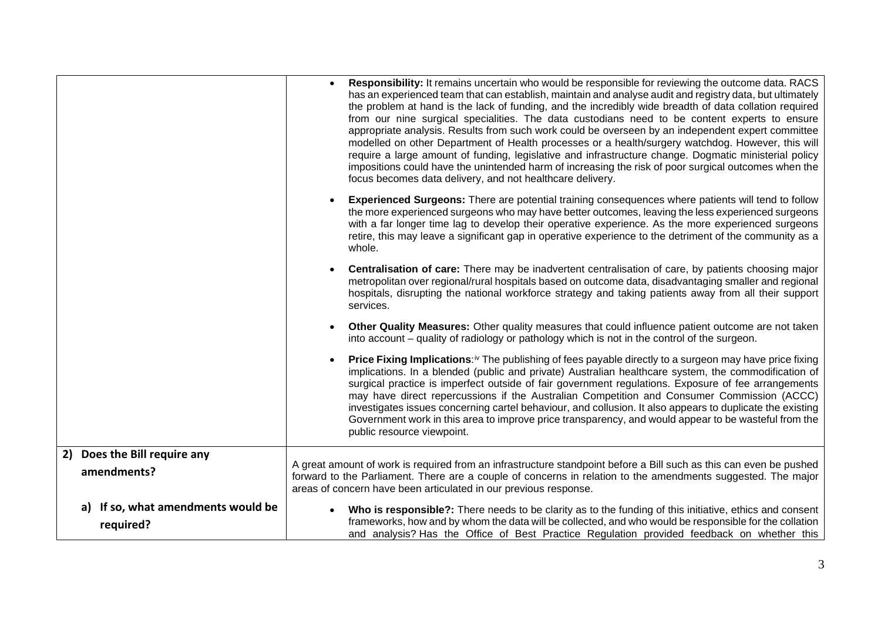|                                                    | Responsibility: It remains uncertain who would be responsible for reviewing the outcome data. RACS<br>has an experienced team that can establish, maintain and analyse audit and registry data, but ultimately<br>the problem at hand is the lack of funding, and the incredibly wide breadth of data collation required<br>from our nine surgical specialities. The data custodians need to be content experts to ensure<br>appropriate analysis. Results from such work could be overseen by an independent expert committee<br>modelled on other Department of Health processes or a health/surgery watchdog. However, this will<br>require a large amount of funding, legislative and infrastructure change. Dogmatic ministerial policy<br>impositions could have the unintended harm of increasing the risk of poor surgical outcomes when the<br>focus becomes data delivery, and not healthcare delivery. |
|----------------------------------------------------|-------------------------------------------------------------------------------------------------------------------------------------------------------------------------------------------------------------------------------------------------------------------------------------------------------------------------------------------------------------------------------------------------------------------------------------------------------------------------------------------------------------------------------------------------------------------------------------------------------------------------------------------------------------------------------------------------------------------------------------------------------------------------------------------------------------------------------------------------------------------------------------------------------------------|
|                                                    | <b>Experienced Surgeons:</b> There are potential training consequences where patients will tend to follow<br>the more experienced surgeons who may have better outcomes, leaving the less experienced surgeons<br>with a far longer time lag to develop their operative experience. As the more experienced surgeons<br>retire, this may leave a significant gap in operative experience to the detriment of the community as a<br>whole.                                                                                                                                                                                                                                                                                                                                                                                                                                                                         |
|                                                    | Centralisation of care: There may be inadvertent centralisation of care, by patients choosing major<br>metropolitan over regional/rural hospitals based on outcome data, disadvantaging smaller and regional<br>hospitals, disrupting the national workforce strategy and taking patients away from all their support<br>services.                                                                                                                                                                                                                                                                                                                                                                                                                                                                                                                                                                                |
|                                                    | Other Quality Measures: Other quality measures that could influence patient outcome are not taken<br>into account – quality of radiology or pathology which is not in the control of the surgeon.                                                                                                                                                                                                                                                                                                                                                                                                                                                                                                                                                                                                                                                                                                                 |
|                                                    | <b>Price Fixing Implications:</b> The publishing of fees payable directly to a surgeon may have price fixing<br>implications. In a blended (public and private) Australian healthcare system, the commodification of<br>surgical practice is imperfect outside of fair government regulations. Exposure of fee arrangements<br>may have direct repercussions if the Australian Competition and Consumer Commission (ACCC)<br>investigates issues concerning cartel behaviour, and collusion. It also appears to duplicate the existing<br>Government work in this area to improve price transparency, and would appear to be wasteful from the<br>public resource viewpoint.                                                                                                                                                                                                                                      |
| Does the Bill require any<br>2)<br>amendments?     | A great amount of work is required from an infrastructure standpoint before a Bill such as this can even be pushed<br>forward to the Parliament. There are a couple of concerns in relation to the amendments suggested. The major<br>areas of concern have been articulated in our previous response.                                                                                                                                                                                                                                                                                                                                                                                                                                                                                                                                                                                                            |
| If so, what amendments would be<br>a)<br>required? | Who is responsible?: There needs to be clarity as to the funding of this initiative, ethics and consent<br>frameworks, how and by whom the data will be collected, and who would be responsible for the collation<br>and analysis? Has the Office of Best Practice Regulation provided feedback on whether this                                                                                                                                                                                                                                                                                                                                                                                                                                                                                                                                                                                                   |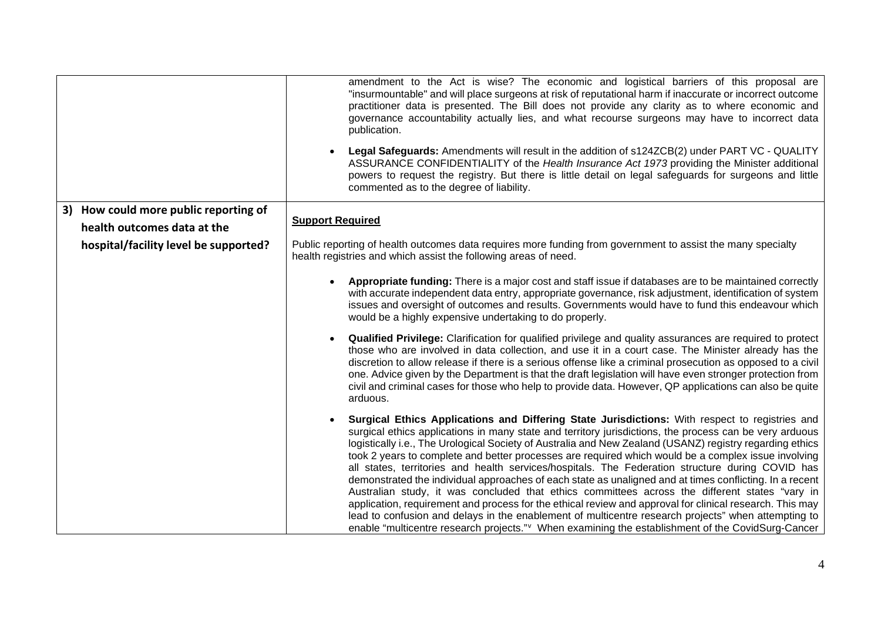|                                                                      | amendment to the Act is wise? The economic and logistical barriers of this proposal are<br>"insurmountable" and will place surgeons at risk of reputational harm if inaccurate or incorrect outcome<br>practitioner data is presented. The Bill does not provide any clarity as to where economic and<br>governance accountability actually lies, and what recourse surgeons may have to incorrect data<br>publication.<br>Legal Safeguards: Amendments will result in the addition of s124ZCB(2) under PART VC - QUALITY<br>ASSURANCE CONFIDENTIALITY of the Health Insurance Act 1973 providing the Minister additional<br>powers to request the registry. But there is little detail on legal safeguards for surgeons and little<br>commented as to the degree of liability.                                                                                                                                                                                                                                                                                      |
|----------------------------------------------------------------------|----------------------------------------------------------------------------------------------------------------------------------------------------------------------------------------------------------------------------------------------------------------------------------------------------------------------------------------------------------------------------------------------------------------------------------------------------------------------------------------------------------------------------------------------------------------------------------------------------------------------------------------------------------------------------------------------------------------------------------------------------------------------------------------------------------------------------------------------------------------------------------------------------------------------------------------------------------------------------------------------------------------------------------------------------------------------|
| 3) How could more public reporting of<br>health outcomes data at the | <b>Support Required</b>                                                                                                                                                                                                                                                                                                                                                                                                                                                                                                                                                                                                                                                                                                                                                                                                                                                                                                                                                                                                                                              |
| hospital/facility level be supported?                                | Public reporting of health outcomes data requires more funding from government to assist the many specialty<br>health registries and which assist the following areas of need.                                                                                                                                                                                                                                                                                                                                                                                                                                                                                                                                                                                                                                                                                                                                                                                                                                                                                       |
|                                                                      | Appropriate funding: There is a major cost and staff issue if databases are to be maintained correctly<br>with accurate independent data entry, appropriate governance, risk adjustment, identification of system<br>issues and oversight of outcomes and results. Governments would have to fund this endeavour which<br>would be a highly expensive undertaking to do properly.                                                                                                                                                                                                                                                                                                                                                                                                                                                                                                                                                                                                                                                                                    |
|                                                                      | Qualified Privilege: Clarification for qualified privilege and quality assurances are required to protect<br>those who are involved in data collection, and use it in a court case. The Minister already has the<br>discretion to allow release if there is a serious offense like a criminal prosecution as opposed to a civil<br>one. Advice given by the Department is that the draft legislation will have even stronger protection from<br>civil and criminal cases for those who help to provide data. However, QP applications can also be quite<br>arduous.                                                                                                                                                                                                                                                                                                                                                                                                                                                                                                  |
|                                                                      | Surgical Ethics Applications and Differing State Jurisdictions: With respect to registries and<br>surgical ethics applications in many state and territory jurisdictions, the process can be very arduous<br>logistically i.e., The Urological Society of Australia and New Zealand (USANZ) registry regarding ethics<br>took 2 years to complete and better processes are required which would be a complex issue involving<br>all states, territories and health services/hospitals. The Federation structure during COVID has<br>demonstrated the individual approaches of each state as unaligned and at times conflicting. In a recent<br>Australian study, it was concluded that ethics committees across the different states "vary in<br>application, requirement and process for the ethical review and approval for clinical research. This may<br>lead to confusion and delays in the enablement of multicentre research projects" when attempting to<br>enable "multicentre research projects." When examining the establishment of the CovidSurg-Cancer |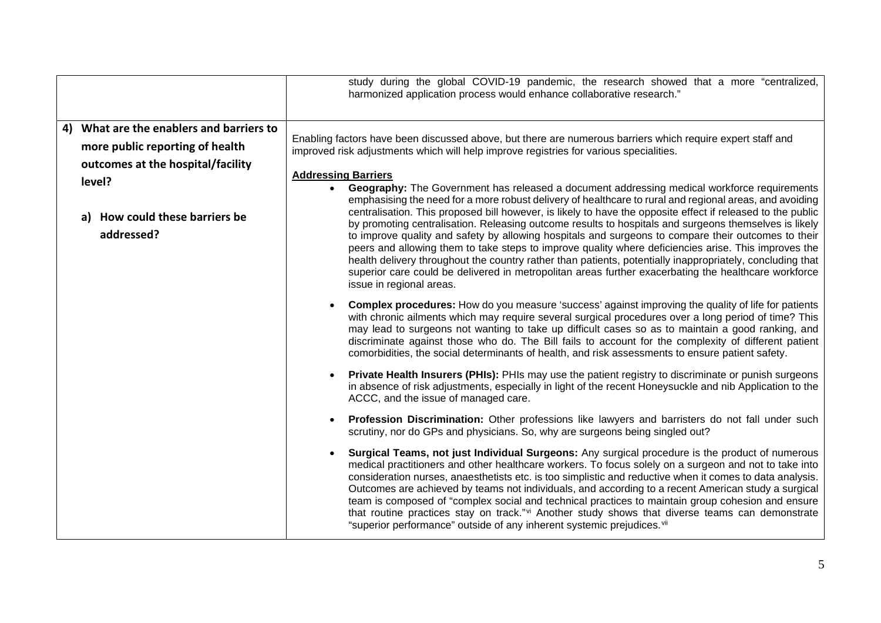|                                                                                                                                                                            | study during the global COVID-19 pandemic, the research showed that a more "centralized,<br>harmonized application process would enhance collaborative research."                                                                                                                                                                                                                                                                                                                                                                                                                                                                                                                                                                                                                                                                                                                                                                                                                                                                                                                                                                                                                                                                                                                                                                                                                                                                                                                                                                                                                                                                                                           |
|----------------------------------------------------------------------------------------------------------------------------------------------------------------------------|-----------------------------------------------------------------------------------------------------------------------------------------------------------------------------------------------------------------------------------------------------------------------------------------------------------------------------------------------------------------------------------------------------------------------------------------------------------------------------------------------------------------------------------------------------------------------------------------------------------------------------------------------------------------------------------------------------------------------------------------------------------------------------------------------------------------------------------------------------------------------------------------------------------------------------------------------------------------------------------------------------------------------------------------------------------------------------------------------------------------------------------------------------------------------------------------------------------------------------------------------------------------------------------------------------------------------------------------------------------------------------------------------------------------------------------------------------------------------------------------------------------------------------------------------------------------------------------------------------------------------------------------------------------------------------|
| 4) What are the enablers and barriers to<br>more public reporting of health<br>outcomes at the hospital/facility<br>level?<br>a) How could these barriers be<br>addressed? | Enabling factors have been discussed above, but there are numerous barriers which require expert staff and<br>improved risk adjustments which will help improve registries for various specialities.<br><b>Addressing Barriers</b><br>Geography: The Government has released a document addressing medical workforce requirements<br>emphasising the need for a more robust delivery of healthcare to rural and regional areas, and avoiding<br>centralisation. This proposed bill however, is likely to have the opposite effect if released to the public<br>by promoting centralisation. Releasing outcome results to hospitals and surgeons themselves is likely<br>to improve quality and safety by allowing hospitals and surgeons to compare their outcomes to their<br>peers and allowing them to take steps to improve quality where deficiencies arise. This improves the<br>health delivery throughout the country rather than patients, potentially inappropriately, concluding that<br>superior care could be delivered in metropolitan areas further exacerbating the healthcare workforce<br>issue in regional areas.<br><b>Complex procedures:</b> How do you measure 'success' against improving the quality of life for patients<br>with chronic ailments which may require several surgical procedures over a long period of time? This<br>may lead to surgeons not wanting to take up difficult cases so as to maintain a good ranking, and<br>discriminate against those who do. The Bill fails to account for the complexity of different patient<br>comorbidities, the social determinants of health, and risk assessments to ensure patient safety. |
|                                                                                                                                                                            | <b>Private Health Insurers (PHIs):</b> PHIs may use the patient registry to discriminate or punish surgeons<br>in absence of risk adjustments, especially in light of the recent Honeysuckle and nib Application to the<br>ACCC, and the issue of managed care.<br>Profession Discrimination: Other professions like lawyers and barristers do not fall under such<br>scrutiny, nor do GPs and physicians. So, why are surgeons being singled out?<br>Surgical Teams, not just Individual Surgeons: Any surgical procedure is the product of numerous<br>medical practitioners and other healthcare workers. To focus solely on a surgeon and not to take into<br>consideration nurses, anaesthetists etc. is too simplistic and reductive when it comes to data analysis.<br>Outcomes are achieved by teams not individuals, and according to a recent American study a surgical<br>team is composed of "complex social and technical practices to maintain group cohesion and ensure<br>that routine practices stay on track."vi Another study shows that diverse teams can demonstrate<br>"superior performance" outside of any inherent systemic prejudices. Viii                                                                                                                                                                                                                                                                                                                                                                                                                                                                                                       |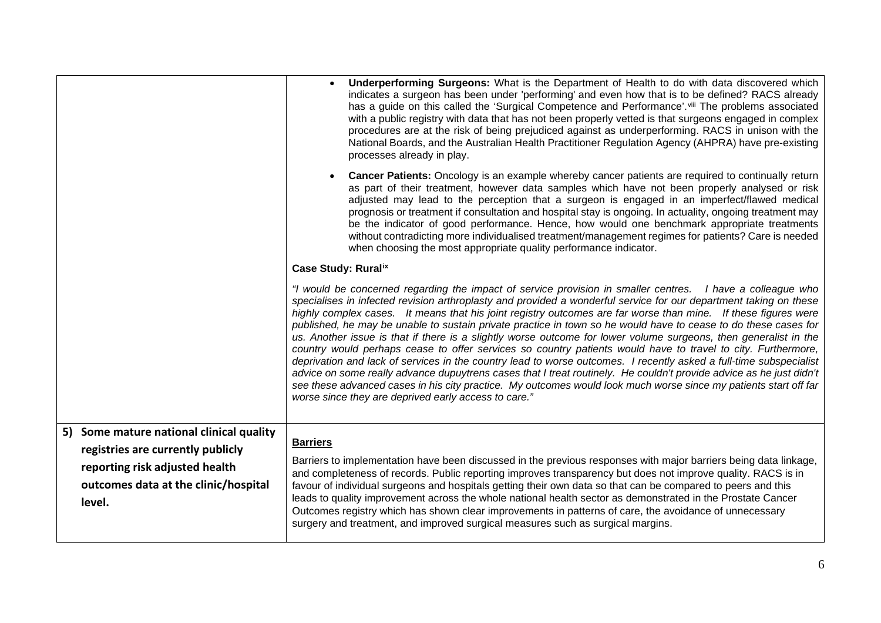| 5) Some mature national clinical quality<br>registries are currently publicly<br>reporting risk adjusted health<br>outcomes data at the clinic/hospital | when choosing the most appropriate quality performance indicator.<br>Case Study: Ruralix<br>"I would be concerned regarding the impact of service provision in smaller centres. I have a colleague who<br>specialises in infected revision arthroplasty and provided a wonderful service for our department taking on these<br>highly complex cases. It means that his joint registry outcomes are far worse than mine. If these figures were<br>published, he may be unable to sustain private practice in town so he would have to cease to do these cases for<br>us. Another issue is that if there is a slightly worse outcome for lower volume surgeons, then generalist in the<br>country would perhaps cease to offer services so country patients would have to travel to city. Furthermore,<br>deprivation and lack of services in the country lead to worse outcomes. I recently asked a full-time subspecialist<br>advice on some really advance dupuytrens cases that I treat routinely. He couldn't provide advice as he just didn't<br>see these advanced cases in his city practice. My outcomes would look much worse since my patients start off far<br>worse since they are deprived early access to care."<br><b>Barriers</b><br>Barriers to implementation have been discussed in the previous responses with major barriers being data linkage,<br>and completeness of records. Public reporting improves transparency but does not improve quality. RACS is in<br>favour of individual surgeons and hospitals getting their own data so that can be compared to peers and this<br>leads to quality improvement across the whole national health sector as demonstrated in the Prostate Cancer |
|---------------------------------------------------------------------------------------------------------------------------------------------------------|---------------------------------------------------------------------------------------------------------------------------------------------------------------------------------------------------------------------------------------------------------------------------------------------------------------------------------------------------------------------------------------------------------------------------------------------------------------------------------------------------------------------------------------------------------------------------------------------------------------------------------------------------------------------------------------------------------------------------------------------------------------------------------------------------------------------------------------------------------------------------------------------------------------------------------------------------------------------------------------------------------------------------------------------------------------------------------------------------------------------------------------------------------------------------------------------------------------------------------------------------------------------------------------------------------------------------------------------------------------------------------------------------------------------------------------------------------------------------------------------------------------------------------------------------------------------------------------------------------------------------------------------------------------------------------------------------------------------|
|                                                                                                                                                         | procedures are at the risk of being prejudiced against as underperforming. RACS in unison with the<br>National Boards, and the Australian Health Practitioner Regulation Agency (AHPRA) have pre-existing<br>processes already in play.<br>Cancer Patients: Oncology is an example whereby cancer patients are required to continually return<br>as part of their treatment, however data samples which have not been properly analysed or risk<br>adjusted may lead to the perception that a surgeon is engaged in an imperfect/flawed medical<br>prognosis or treatment if consultation and hospital stay is ongoing. In actuality, ongoing treatment may<br>be the indicator of good performance. Hence, how would one benchmark appropriate treatments<br>without contradicting more individualised treatment/management regimes for patients? Care is needed                                                                                                                                                                                                                                                                                                                                                                                                                                                                                                                                                                                                                                                                                                                                                                                                                                                   |
|                                                                                                                                                         | Underperforming Surgeons: What is the Department of Health to do with data discovered which<br>indicates a surgeon has been under 'performing' and even how that is to be defined? RACS already<br>has a guide on this called the 'Surgical Competence and Performance'. Vill The problems associated<br>with a public registry with data that has not been properly vetted is that surgeons engaged in complex                                                                                                                                                                                                                                                                                                                                                                                                                                                                                                                                                                                                                                                                                                                                                                                                                                                                                                                                                                                                                                                                                                                                                                                                                                                                                                     |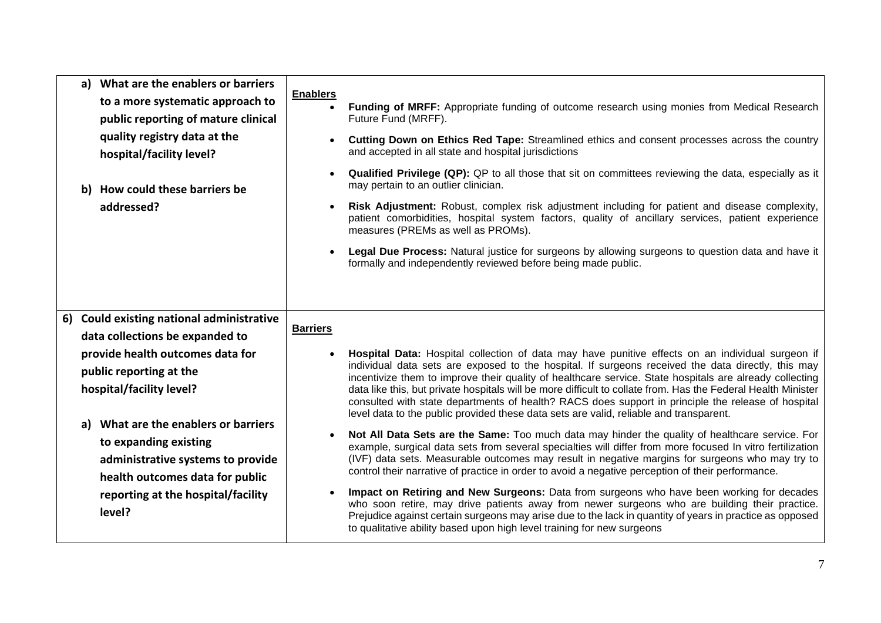| a) What are the enablers or barriers<br>to a more systematic approach to<br>public reporting of mature clinical<br>quality registry data at the<br>hospital/facility level?<br>b) How could these barriers be<br>addressed?                                                                                                                                                   | <b>Enablers</b><br><b>Funding of MRFF:</b> Appropriate funding of outcome research using monies from Medical Research<br>Future Fund (MRFF).<br>Cutting Down on Ethics Red Tape: Streamlined ethics and consent processes across the country<br>and accepted in all state and hospital jurisdictions<br><b>Qualified Privilege (QP):</b> QP to all those that sit on committees reviewing the data, especially as it<br>may pertain to an outlier clinician.<br>Risk Adjustment: Robust, complex risk adjustment including for patient and disease complexity,<br>patient comorbidities, hospital system factors, quality of ancillary services, patient experience<br>measures (PREMs as well as PROMs).<br>Legal Due Process: Natural justice for surgeons by allowing surgeons to question data and have it<br>formally and independently reviewed before being made public.                                                                                                                                                                                                                                                                                                                                                                                                                                                                                                         |
|-------------------------------------------------------------------------------------------------------------------------------------------------------------------------------------------------------------------------------------------------------------------------------------------------------------------------------------------------------------------------------|-----------------------------------------------------------------------------------------------------------------------------------------------------------------------------------------------------------------------------------------------------------------------------------------------------------------------------------------------------------------------------------------------------------------------------------------------------------------------------------------------------------------------------------------------------------------------------------------------------------------------------------------------------------------------------------------------------------------------------------------------------------------------------------------------------------------------------------------------------------------------------------------------------------------------------------------------------------------------------------------------------------------------------------------------------------------------------------------------------------------------------------------------------------------------------------------------------------------------------------------------------------------------------------------------------------------------------------------------------------------------------------------|
| <b>Could existing national administrative</b><br>6)<br>data collections be expanded to<br>provide health outcomes data for<br>public reporting at the<br>hospital/facility level?<br>What are the enablers or barriers<br>a)<br>to expanding existing<br>administrative systems to provide<br>health outcomes data for public<br>reporting at the hospital/facility<br>level? | <b>Barriers</b><br>Hospital Data: Hospital collection of data may have punitive effects on an individual surgeon if<br>individual data sets are exposed to the hospital. If surgeons received the data directly, this may<br>incentivize them to improve their quality of healthcare service. State hospitals are already collecting<br>data like this, but private hospitals will be more difficult to collate from. Has the Federal Health Minister<br>consulted with state departments of health? RACS does support in principle the release of hospital<br>level data to the public provided these data sets are valid, reliable and transparent.<br>Not All Data Sets are the Same: Too much data may hinder the quality of healthcare service. For<br>example, surgical data sets from several specialties will differ from more focused In vitro fertilization<br>(IVF) data sets. Measurable outcomes may result in negative margins for surgeons who may try to<br>control their narrative of practice in order to avoid a negative perception of their performance.<br>Impact on Retiring and New Surgeons: Data from surgeons who have been working for decades<br>who soon retire, may drive patients away from newer surgeons who are building their practice.<br>Prejudice against certain surgeons may arise due to the lack in quantity of years in practice as opposed |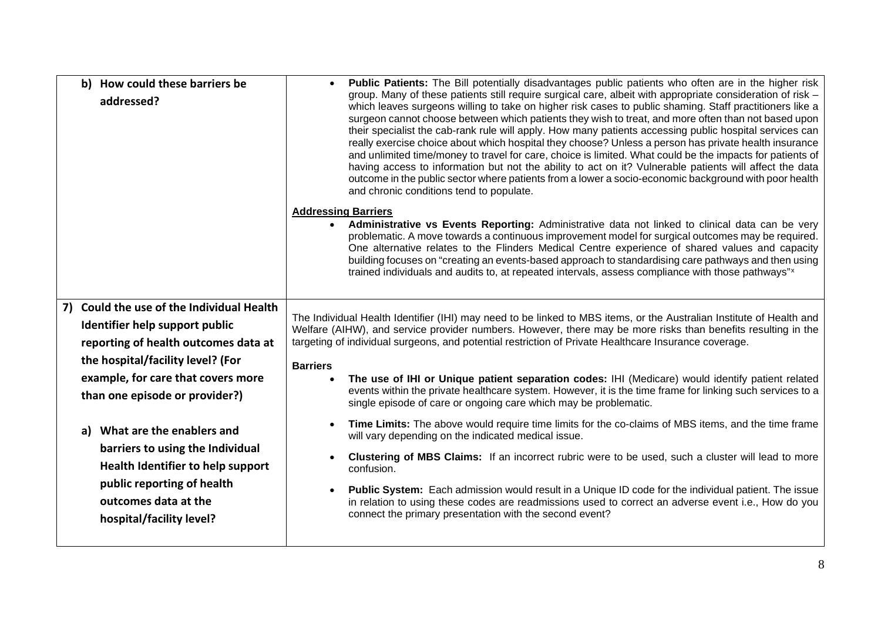| b) How could these barriers be<br>addressed?                                                                                                                                                                                                                                                                                                                                                                                   | Public Patients: The Bill potentially disadvantages public patients who often are in the higher risk<br>group. Many of these patients still require surgical care, albeit with appropriate consideration of risk -<br>which leaves surgeons willing to take on higher risk cases to public shaming. Staff practitioners like a<br>surgeon cannot choose between which patients they wish to treat, and more often than not based upon<br>their specialist the cab-rank rule will apply. How many patients accessing public hospital services can<br>really exercise choice about which hospital they choose? Unless a person has private health insurance<br>and unlimited time/money to travel for care, choice is limited. What could be the impacts for patients of<br>having access to information but not the ability to act on it? Vulnerable patients will affect the data<br>outcome in the public sector where patients from a lower a socio-economic background with poor health<br>and chronic conditions tend to populate.                                                                                                                                                                                                              |
|--------------------------------------------------------------------------------------------------------------------------------------------------------------------------------------------------------------------------------------------------------------------------------------------------------------------------------------------------------------------------------------------------------------------------------|-----------------------------------------------------------------------------------------------------------------------------------------------------------------------------------------------------------------------------------------------------------------------------------------------------------------------------------------------------------------------------------------------------------------------------------------------------------------------------------------------------------------------------------------------------------------------------------------------------------------------------------------------------------------------------------------------------------------------------------------------------------------------------------------------------------------------------------------------------------------------------------------------------------------------------------------------------------------------------------------------------------------------------------------------------------------------------------------------------------------------------------------------------------------------------------------------------------------------------------------------------|
|                                                                                                                                                                                                                                                                                                                                                                                                                                | <b>Addressing Barriers</b><br>• Administrative vs Events Reporting: Administrative data not linked to clinical data can be very<br>problematic. A move towards a continuous improvement model for surgical outcomes may be required.<br>One alternative relates to the Flinders Medical Centre experience of shared values and capacity<br>building focuses on "creating an events-based approach to standardising care pathways and then using<br>trained individuals and audits to, at repeated intervals, assess compliance with those pathways" <sup>x</sup>                                                                                                                                                                                                                                                                                                                                                                                                                                                                                                                                                                                                                                                                                    |
| 7) Could the use of the Individual Health<br>Identifier help support public<br>reporting of health outcomes data at<br>the hospital/facility level? (For<br>example, for care that covers more<br>than one episode or provider?)<br>What are the enablers and<br>a)<br>barriers to using the Individual<br>Health Identifier to help support<br>public reporting of health<br>outcomes data at the<br>hospital/facility level? | The Individual Health Identifier (IHI) may need to be linked to MBS items, or the Australian Institute of Health and<br>Welfare (AIHW), and service provider numbers. However, there may be more risks than benefits resulting in the<br>targeting of individual surgeons, and potential restriction of Private Healthcare Insurance coverage.<br><b>Barriers</b><br>The use of IHI or Unique patient separation codes: IHI (Medicare) would identify patient related<br>events within the private healthcare system. However, it is the time frame for linking such services to a<br>single episode of care or ongoing care which may be problematic.<br>Time Limits: The above would require time limits for the co-claims of MBS items, and the time frame<br>$\bullet$<br>will vary depending on the indicated medical issue.<br><b>Clustering of MBS Claims:</b> If an incorrect rubric were to be used, such a cluster will lead to more<br>confusion.<br>Public System: Each admission would result in a Unique ID code for the individual patient. The issue<br>$\bullet$<br>in relation to using these codes are readmissions used to correct an adverse event i.e., How do you<br>connect the primary presentation with the second event? |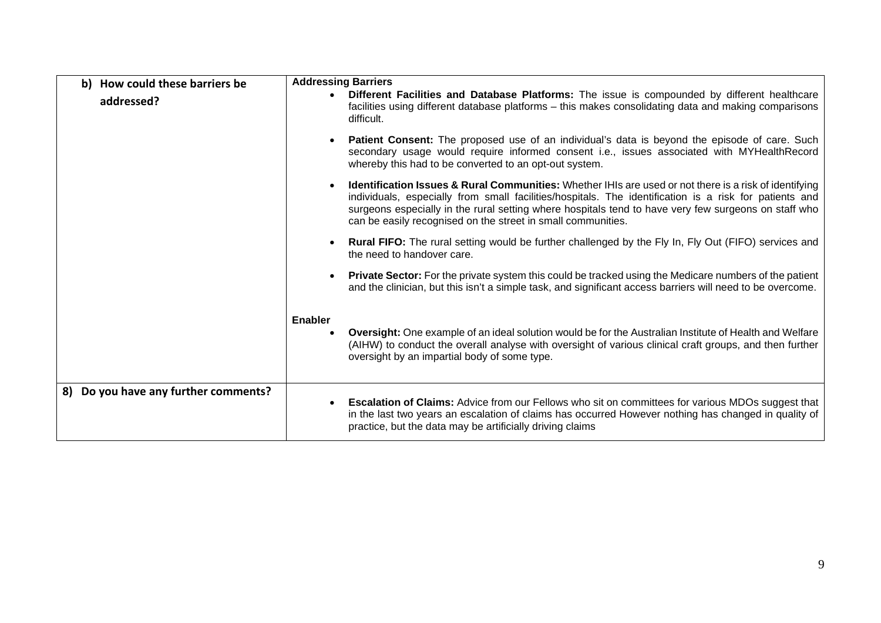| b) How could these barriers be       | <b>Addressing Barriers</b>                                                                                                                                                                                                                                                                                                                                                                            |
|--------------------------------------|-------------------------------------------------------------------------------------------------------------------------------------------------------------------------------------------------------------------------------------------------------------------------------------------------------------------------------------------------------------------------------------------------------|
| addressed?                           | Different Facilities and Database Platforms: The issue is compounded by different healthcare<br>$\bullet$<br>facilities using different database platforms - this makes consolidating data and making comparisons<br>difficult.                                                                                                                                                                       |
|                                      | Patient Consent: The proposed use of an individual's data is beyond the episode of care. Such<br>$\bullet$<br>secondary usage would require informed consent i.e., issues associated with MYHealthRecord<br>whereby this had to be converted to an opt-out system.                                                                                                                                    |
|                                      | Identification Issues & Rural Communities: Whether IHIs are used or not there is a risk of identifying<br>$\bullet$<br>individuals, especially from small facilities/hospitals. The identification is a risk for patients and<br>surgeons especially in the rural setting where hospitals tend to have very few surgeons on staff who<br>can be easily recognised on the street in small communities. |
|                                      | <b>Rural FIFO:</b> The rural setting would be further challenged by the Fly In, Fly Out (FIFO) services and<br>$\bullet$<br>the need to handover care.                                                                                                                                                                                                                                                |
|                                      | <b>Private Sector:</b> For the private system this could be tracked using the Medicare numbers of the patient<br>$\bullet$<br>and the clinician, but this isn't a simple task, and significant access barriers will need to be overcome.                                                                                                                                                              |
|                                      | <b>Enabler</b><br>Oversight: One example of an ideal solution would be for the Australian Institute of Health and Welfare<br>$\bullet$<br>(AIHW) to conduct the overall analyse with oversight of various clinical craft groups, and then further<br>oversight by an impartial body of some type.                                                                                                     |
| 8) Do you have any further comments? | <b>Escalation of Claims: Advice from our Fellows who sit on committees for various MDOs suggest that</b><br>in the last two years an escalation of claims has occurred However nothing has changed in quality of<br>practice, but the data may be artificially driving claims                                                                                                                         |